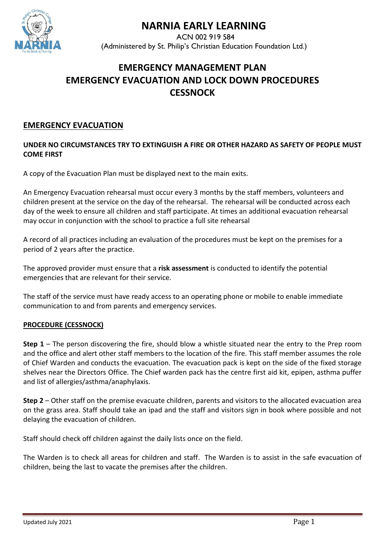

# **NARNIA EARLY LEARNING**

 ACN 002 919 584 (Administered by St. Philip's Christian Education Foundation Ltd.)

# **EMERGENCY MANAGEMENT PLAN EMERGENCY EVACUATION AND LOCK DOWN PROCEDURES CESSNOCK**

# **EMERGENCY EVACUATION**

### **UNDER NO CIRCUMSTANCES TRY TO EXTINGUISH A FIRE OR OTHER HAZARD AS SAFETY OF PEOPLE MUST COME FIRST**

A copy of the Evacuation Plan must be displayed next to the main exits.

An Emergency Evacuation rehearsal must occur every 3 months by the staff members, volunteers and children present at the service on the day of the rehearsal. The rehearsal will be conducted across each day of the week to ensure all children and staff participate. At times an additional evacuation rehearsal may occur in conjunction with the school to practice a full site rehearsal

A record of all practices including an evaluation of the procedures must be kept on the premises for a period of 2 years after the practice.

The approved provider must ensure that a **risk assessment** is conducted to identify the potential emergencies that are relevant for their service.

The staff of the service must have ready access to an operating phone or mobile to enable immediate communication to and from parents and emergency services.

#### **PROCEDURE (CESSNOCK)**

**Step 1** – The person discovering the fire, should blow a whistle situated near the entry to the Prep room and the office and alert other staff members to the location of the fire. This staff member assumes the role of Chief Warden and conducts the evacuation. The evacuation pack is kept on the side of the fixed storage shelves near the Directors Office. The Chief warden pack has the centre first aid kit, epipen, asthma puffer and list of allergies/asthma/anaphylaxis.

**Step 2** – Other staff on the premise evacuate children, parents and visitors to the allocated evacuation area on the grass area. Staff should take an ipad and the staff and visitors sign in book where possible and not delaying the evacuation of children.

Staff should check off children against the daily lists once on the field.

The Warden is to check all areas for children and staff. The Warden is to assist in the safe evacuation of children, being the last to vacate the premises after the children.